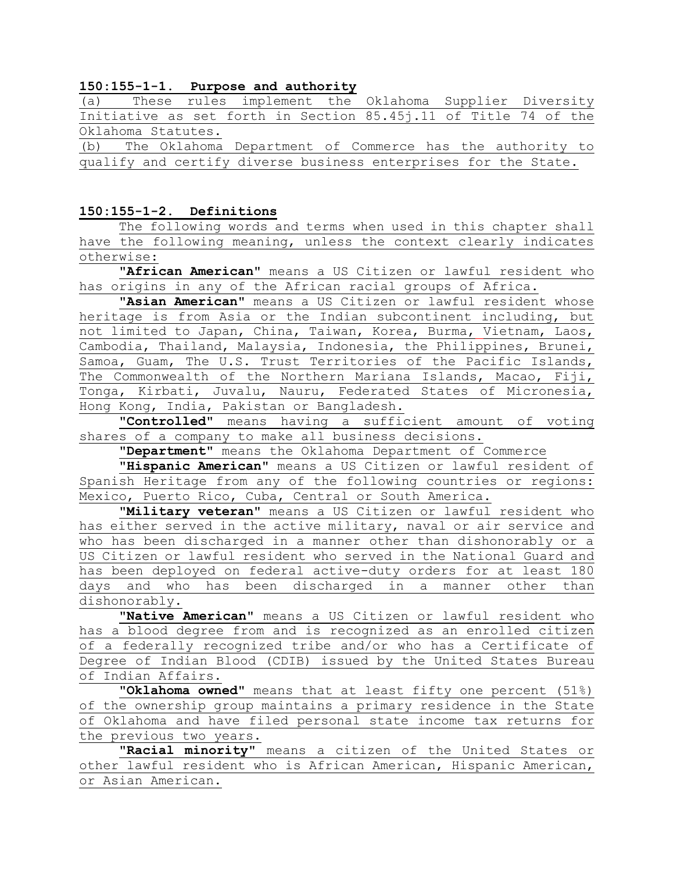### **150:155-1-1. Purpose and authority**

|                    |  |  | (a) These rules implement the Oklahoma Supplier Diversity       |  |  |  |  |  |  |  |  |  |
|--------------------|--|--|-----------------------------------------------------------------|--|--|--|--|--|--|--|--|--|
|                    |  |  | Initiative as set forth in Section 85.45j.11 of Title 74 of the |  |  |  |  |  |  |  |  |  |
| Oklahoma Statutes. |  |  |                                                                 |  |  |  |  |  |  |  |  |  |
|                    |  |  | (b) The Oklahoma Department of Commerce has the authority to    |  |  |  |  |  |  |  |  |  |

qualify and certify diverse business enterprises for the State.

#### **150:155-1-2. Definitions**

The following words and terms when used in this chapter shall have the following meaning, unless the context clearly indicates otherwise:

**"African American"** means a US Citizen or lawful resident who has origins in any of the African racial groups of Africa.

**"Asian American"** means a US Citizen or lawful resident whose heritage is from Asia or the Indian subcontinent including, but not limited to Japan, China, Taiwan, Korea, Burma, Vietnam, Laos, Cambodia, Thailand, Malaysia, Indonesia, the Philippines, Brunei, Samoa, Guam, The U.S. Trust Territories of the Pacific Islands, The Commonwealth of the Northern Mariana Islands, Macao, Fiji, Tonga, Kirbati, Juvalu, Nauru, Federated States of Micronesia, Hong Kong, India, Pakistan or Bangladesh.

**"Controlled"** means having a sufficient amount of voting shares of a company to make all business decisions.

**"Department"** means the Oklahoma Department of Commerce

**"Hispanic American"** means a US Citizen or lawful resident of Spanish Heritage from any of the following countries or regions: Mexico, Puerto Rico, Cuba, Central or South America.

**"Military veteran"** means a US Citizen or lawful resident who has either served in the active military, naval or air service and who has been discharged in a manner other than dishonorably or a US Citizen or lawful resident who served in the National Guard and has been deployed on federal active-duty orders for at least 180 days and who has been discharged in a manner other than dishonorably.

**"Native American"** means a US Citizen or lawful resident who has a blood degree from and is recognized as an enrolled citizen of a federally recognized tribe and/or who has a Certificate of Degree of Indian Blood (CDIB) issued by the United States Bureau of Indian Affairs.

**"Oklahoma owned"** means that at least fifty one percent (51%) of the ownership group maintains a primary residence in the State of Oklahoma and have filed personal state income tax returns for the previous two years.

**"Racial minority"** means a citizen of the United States or other lawful resident who is African American, Hispanic American, or Asian American.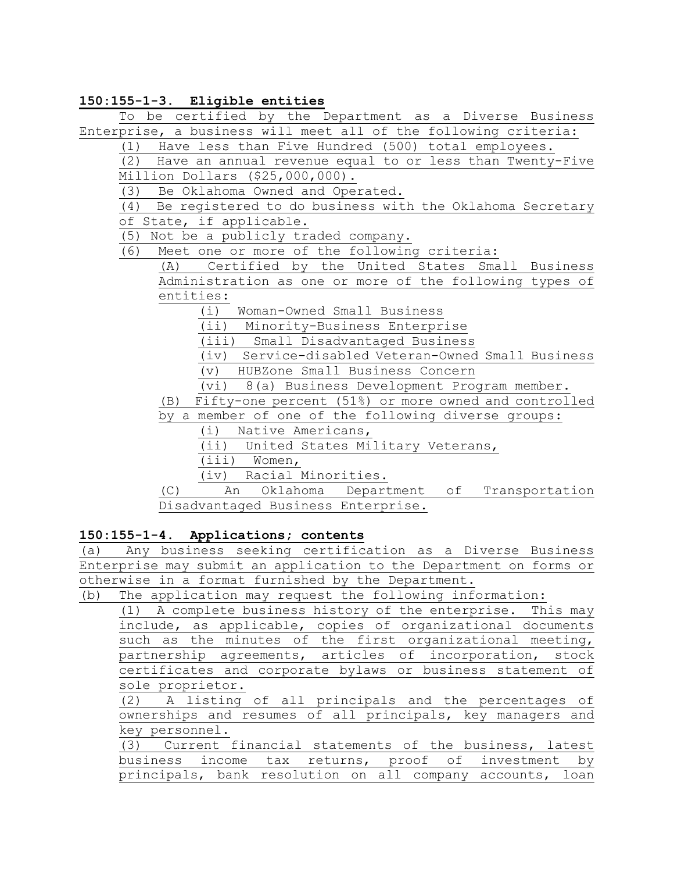### **150:155-1-3. Eligible entities**

To be certified by the Department as a Diverse Business Enterprise, a business will meet all of the following criteria:

(1) Have less than Five Hundred (500) total employees.

(2) Have an annual revenue equal to or less than Twenty-Five Million Dollars (\$25,000,000).

(3) Be Oklahoma Owned and Operated.

(4) Be registered to do business with the Oklahoma Secretary of State, if applicable.

(5) Not be a publicly traded company.

(6) Meet one or more of the following criteria:

(A) Certified by the United States Small Business Administration as one or more of the following types of entities:

(i) Woman-Owned Small Business

(ii) Minority-Business Enterprise

(iii) Small Disadvantaged Business

(iv) Service-disabled Veteran-Owned Small Business

(v) HUBZone Small Business Concern

(vi) 8(a) Business Development Program member.

(B) Fifty-one percent (51%) or more owned and controlled

by a member of one of the following diverse groups:

(i) Native Americans,

(ii) United States Military Veterans,

(iii) Women,

(iv) Racial Minorities.

(C) An Oklahoma Department of Transportation Disadvantaged Business Enterprise.

#### **150:155-1-4. Applications; contents**

(a) Any business seeking certification as a Diverse Business Enterprise may submit an application to the Department on forms or otherwise in a format furnished by the Department.

(b) The application may request the following information:

(1) A complete business history of the enterprise. This may include, as applicable, copies of organizational documents such as the minutes of the first organizational meeting, partnership agreements, articles of incorporation, stock certificates and corporate bylaws or business statement of sole proprietor.

(2) A listing of all principals and the percentages of ownerships and resumes of all principals, key managers and key personnel.

(3) Current financial statements of the business, latest business income tax returns, proof of investment by principals, bank resolution on all company accounts, loan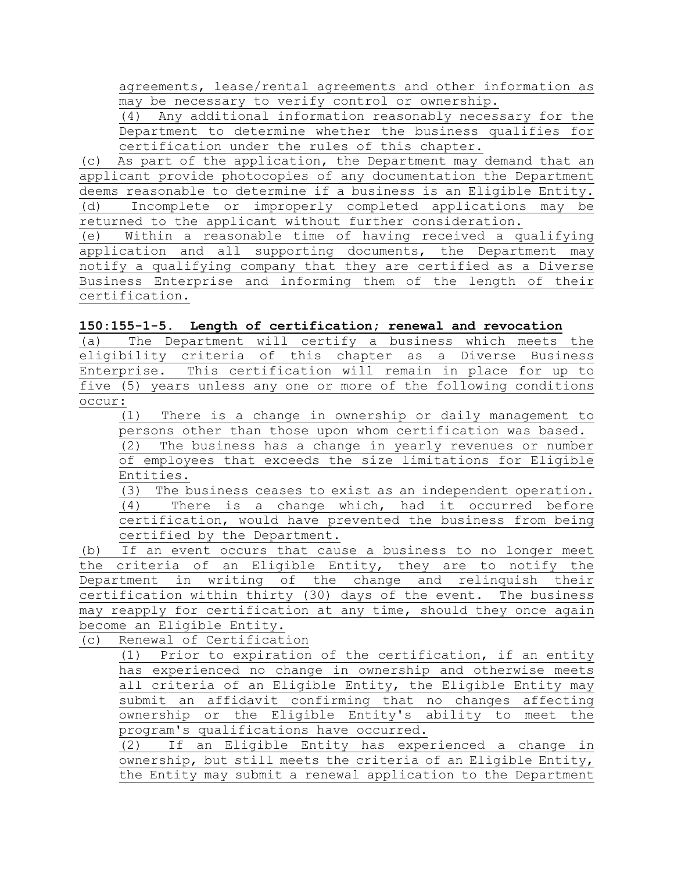agreements, lease/rental agreements and other information as may be necessary to verify control or ownership.

(4) Any additional information reasonably necessary for the Department to determine whether the business qualifies for certification under the rules of this chapter.

(c) As part of the application, the Department may demand that an applicant provide photocopies of any documentation the Department deems reasonable to determine if a business is an Eligible Entity. (d) Incomplete or improperly completed applications may be returned to the applicant without further consideration.

(e) Within a reasonable time of having received a qualifying application and all supporting documents, the Department may notify a qualifying company that they are certified as a Diverse Business Enterprise and informing them of the length of their certification.

(a) The Department will certify a business which meets the eligibility criteria of this chapter as a Diverse Business Enterprise. This certification will remain in place for up to five (5) years unless any one or more of the following conditions occur:

(1) There is a change in ownership or daily management to persons other than those upon whom certification was based.

(2) The business has a change in yearly revenues or number of employees that exceeds the size limitations for Eligible Entities.

(3) The business ceases to exist as an independent operation. (4) There is a change which, had it occurred before certification, would have prevented the business from being certified by the Department.

(b) If an event occurs that cause a business to no longer meet the criteria of an Eligible Entity, they are to notify the Department in writing of the change and relinquish their certification within thirty (30) days of the event. The business may reapply for certification at any time, should they once again become an Eligible Entity.

(c) Renewal of Certification

(1) Prior to expiration of the certification, if an entity has experienced no change in ownership and otherwise meets all criteria of an Eligible Entity, the Eligible Entity may submit an affidavit confirming that no changes affecting ownership or the Eligible Entity's ability to meet the program's qualifications have occurred.

(2) If an Eligible Entity has experienced a change in ownership, but still meets the criteria of an Eligible Entity, the Entity may submit a renewal application to the Department

**<sup>150:155-1-5.</sup> Length of certification; renewal and revocation**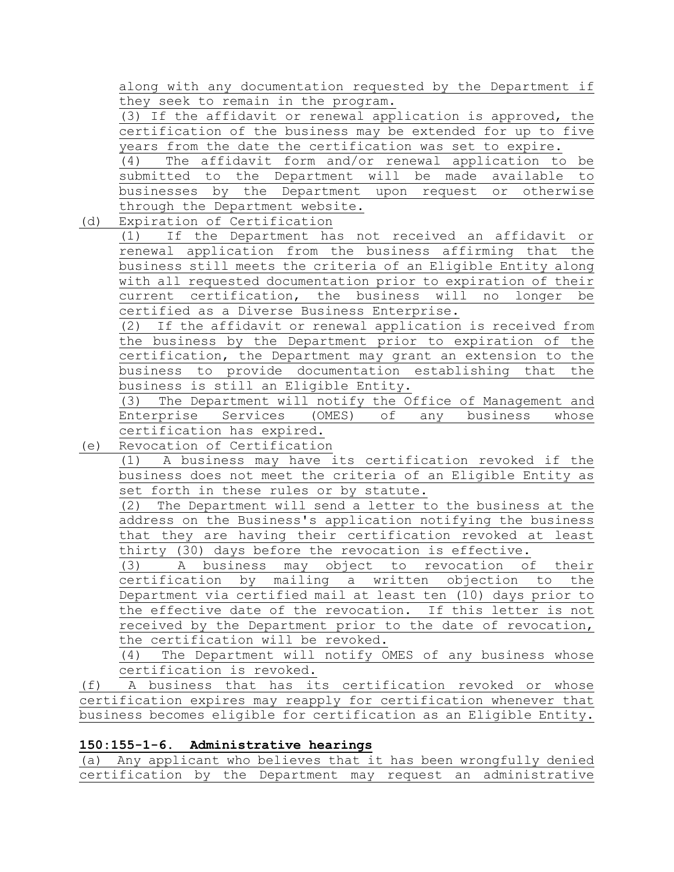along with any documentation requested by the Department if they seek to remain in the program.

(3) If the affidavit or renewal application is approved, the certification of the business may be extended for up to five years from the date the certification was set to expire.

(4) The affidavit form and/or renewal application to be submitted to the Department will be made available to businesses by the Department upon request or otherwise through the Department website.

(d) Expiration of Certification

(1) If the Department has not received an affidavit or renewal application from the business affirming that the business still meets the criteria of an Eligible Entity along with all requested documentation prior to expiration of their current certification, the business will no longer be certified as a Diverse Business Enterprise.

(2) If the affidavit or renewal application is received from the business by the Department prior to expiration of the certification, the Department may grant an extension to the business to provide documentation establishing that the business is still an Eligible Entity.

(3) The Department will notify the Office of Management and Enterprise Services (OMES) of any business whose certification has expired.

(e) Revocation of Certification

(1) A business may have its certification revoked if the business does not meet the criteria of an Eligible Entity as set forth in these rules or by statute.

(2) The Department will send a letter to the business at the address on the Business's application notifying the business that they are having their certification revoked at least thirty (30) days before the revocation is effective.

(3) A business may object to revocation of their certification by mailing a written objection to the Department via certified mail at least ten (10) days prior to the effective date of the revocation. If this letter is not received by the Department prior to the date of revocation, the certification will be revoked.

(4) The Department will notify OMES of any business whose certification is revoked.

(f) A business that has its certification revoked or whose certification expires may reapply for certification whenever that business becomes eligible for certification as an Eligible Entity.

# **150:155-1-6. Administrative hearings**

(a) Any applicant who believes that it has been wrongfully denied certification by the Department may request an administrative